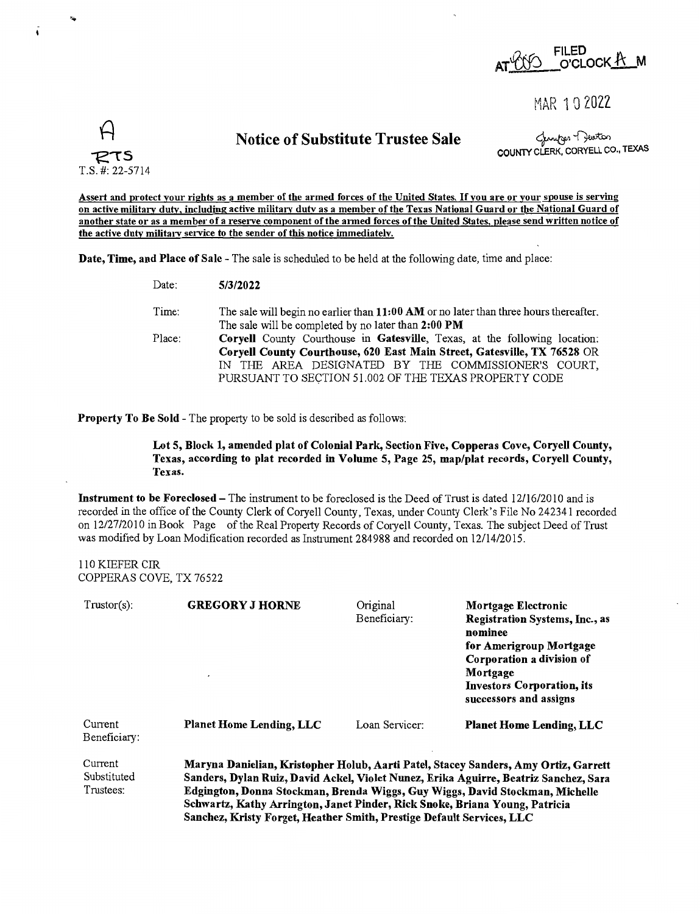

MAR 1 0 2022

Notice of Substitute Trustee Sale

للمسلم Changer Turk<br>COUNTY CLERK, CORYELL CO., TEXAS

**Assert and protect your rights as a member of the armed forces of the United States.** If **you are or your spouse is serving on active military duty, including active military dutv as a member of the Texas National Guard or the National Guard of another state or as a member of a reserve component of the armed forces of the United States, please send written notice of**  the active duty military service to the sender of this notice immediately.

**Date, Time, and Place of Sale** - The sale is scheduled to be held at the following date, time and place:

| Date:  | 5/3/2022                                                                                                                                                                                                                                                                      |  |  |  |
|--------|-------------------------------------------------------------------------------------------------------------------------------------------------------------------------------------------------------------------------------------------------------------------------------|--|--|--|
| Time:  | The sale will begin no earlier than 11:00 AM or no later than three hours thereafter.<br>The sale will be completed by no later than 2:00 PM                                                                                                                                  |  |  |  |
| Place: | <b>Coryell</b> County Courthouse in Gatesville, Texas, at the following location:<br>Coryell County Courthouse, 620 East Main Street, Gatesville, TX 76528 OR<br>IN THE AREA DESIGNATED BY THE COMMISSIONER'S COURT,<br>PURSUANT TO SECTION 51.002 OF THE TEXAS PROPERTY CODE |  |  |  |

**Property To Be Sold** - The property to be sold is described as follows:

**Lot 5, Block 1, amended plat of Colonial Park, Section Five, Copperas Cove, Coryell County, Texas, according to plat recorded** in **Volume 5, Page 25, map/plat records, Coryell County, Texas.** 

**Instrument to be Foreclosed-The** instrument to be foreclosed is the Deed of Trust is dated 12/16/2010 and is recorded in the office of the County Clerk of Coryell County, Texas, under County Clerk's File No 242341 recorded on 12/27/2010 in Book Page of the Real Property Records of Coryell County, Texas. The subject Deed of Trust was modified by Loan Modification recorded as Instrument 284988 and recorded on 12/14/2015.

110 KIEFER CIR COPPERAS COVE, TX 76522

*R* 

 $\tau$ s T.S. #: 22-5714

| $T{\rm rustor(s)}$ :                | <b>GREGORY J HORNE</b>                                                                                                                                                                                                                                      | Original<br>Beneficiary: | Mortgage Electronic<br><b>Registration Systems, Inc., as</b><br>nominee<br>for Amerigroup Mortgage<br>Corporation a division of<br>Mortgage<br>Investors Corporation, its<br>successors and assigns |  |
|-------------------------------------|-------------------------------------------------------------------------------------------------------------------------------------------------------------------------------------------------------------------------------------------------------------|--------------------------|-----------------------------------------------------------------------------------------------------------------------------------------------------------------------------------------------------|--|
| Current<br>Beneficiary:             | <b>Planet Home Lending, LLC</b>                                                                                                                                                                                                                             | Loan Servicer:           | <b>Planet Home Lending, LLC</b>                                                                                                                                                                     |  |
| Current<br>Substituted<br>Trustees: | Maryna Danielian, Kristopher Holub, Aarti Patel, Stacey Sanders, Amy Ortiz, Garrett<br>Sanders, Dylan Ruiz, David Ackel, Violet Nunez, Erika Aguirre, Beatriz Sanchez, Sara<br>Edgington, Donna Stockman, Brenda Wiggs, Guy Wiggs, David Stockman, Michelle |                          |                                                                                                                                                                                                     |  |

Schwartz, Kathy Arrington, Janet Pinder, Rick Snoke, Briana Young, Patricia Sanchez, Kristy Forget, Heather Smith, Prestige Default Services, LLC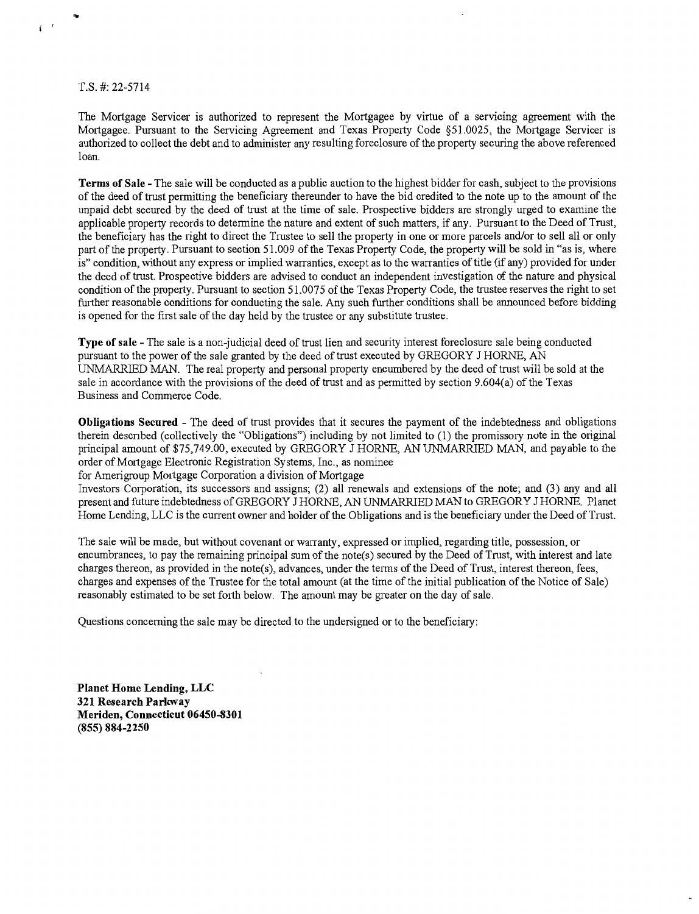T.S. #: 22-5714

i '

The Mortgage Servicer is authorized to represent the Mortgagee by virtue of a servicing agreement with the Mortgagee. Pursuant to the Servicing Agreement and Texas Property Code §51.0025, the Mortgage Servicer is authorized to collect the debt and to administer any resulting foreclosure of the property securing the above referenced loan.

**Terms of Sale** - The sale will be conducted as a public auction to the highest bidder for cash, subject to the provisions of the deed of trust permitting the beneficiary thereunder to have the bid credited to the note up to the amount of the unpaid debt secured by the deed of trust at the time of sale. Prospective bidders are strongly urged to examine the applicable property records to determine the nature and extent of such matters, if any. Pursuant to the Deed of Trust, the beneficiary has the right to direct the Trustee to sell the property in one or more parcels and/or to sell all or only part of the property. Pursuant to section 51.009 of the Texas Property Code, the property will be sold in "as is, where is" condition, without any express or implied warranties, except as to the warranties of title (if any) provided for under the deed of trust. Prospective bidders are advised to conduct an independent investigation of the nature and physical condition of the property. Pursuant to section 51.0075 of the Texas Property Code, the trustee reserves the right to set further reasonable conditions for conducting the sale. Any such further conditions shall be announced before bidding is opened for the first sale of the day held by the trustee or any substitute trustee.

**Type of sale** - The sale is a non-judicial deed of trust lien and security interest foreclosure sale being conducted pursuant to the power of the sale granted by the deed of trust executed by GREGORY J HORNE, AN UNMARRIED MAN. The real property and personal property encumbered by the deed of trust will be sold at the sale in accordance with the provisions of the deed of trust and as permitted by section 9.604(a) of the Texas Business and Commerce Code.

**Obligations Secured** - The deed of trust provides that it secures the payment of the indebtedness and obligations therein descnbed (collectively the "Obligations") including by not limited to (1) the promissory note in the original principal amount of \$75,749.00, executed by GREGORY J HORNE, AN UNMARRIED MAN, and payable to the order of Mortgage Electronic Registration Systems, Inc., as nominee

for Amerigroup Mortgage Corporation a division of Mortgage

Investors Corporation, its successors and assigns; (2) all renewals and extensions of the note; and (3) any and all present and future indebtedness of GREGORY J HORNE, AN UNMARRIED MAN to GREGORY J HORNE. Planet Home Lending, LLC is the current owner and holder of the Obligations and is the beneficiary under the Deed of Trust.

The sale will be made, but without covenant or warranty, expressed or implied, regarding title, possession, or encumbrances, to pay the remaining principal sum of the note(s) secured by the Deed of Trust, with interest and late charges thereon, as provided in the note(s), advances, under the terms of the Deed of Trust, interest thereon, fees, charges and expenses of the Trustee for the total amount (at the time of the initial publication of the Notice of Sale) reasonably estimated to be set forth below. The amount may be greater on the day of sale.

Questions concerning the sale may be directed to the undersigned or to the beneficiary:

**Planet Home Lending, LLC 321 Research Parkway Meriden, Connecticut 06450-8301 (855) 884-2250**